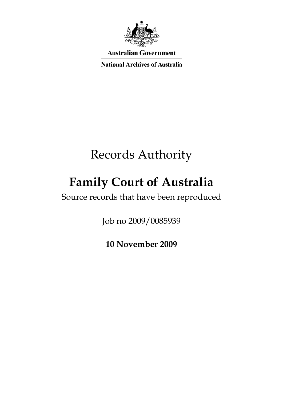

### **Australian Government**

**National Archives of Australia** 

# Records Authority

# **Family Court of Australia**

Source records that have been reproduced

Job no 2009/0085939

**10 November 2009**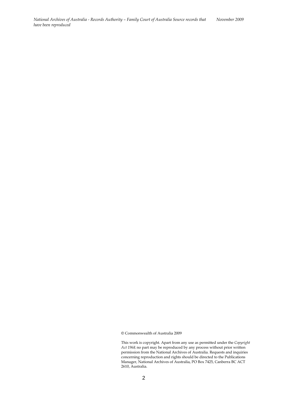*National Archives of Australia - Records Authority – Family Court of Australia Source records that have been reproduced November 2009* 

© Commonwealth of Australia 2009

This work is copyright. Apart from any use as permitted under the *Copyright Act 1968,* no part may be reproduced by any process without prior written permission from the National Archives of Australia. Requests and inquiries concerning reproduction and rights should be directed to the Publications Manager, National Archives of Australia, PO Box 7425, Canberra BC ACT 2610, Australia.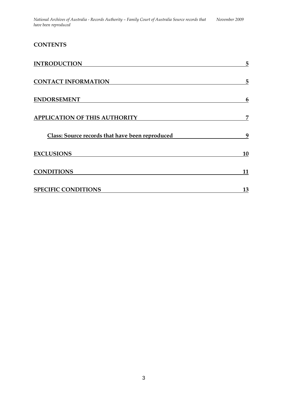### **CONTENTS**

| <b>INTRODUCTION</b>                             | 5  |
|-------------------------------------------------|----|
| <b>CONTACT INFORMATION</b>                      | 5  |
| <b>ENDORSEMENT</b>                              | 6  |
| <b>APPLICATION OF THIS AUTHORITY</b>            | 7  |
| Class: Source records that have been reproduced | 9  |
| <b>EXCLUSIONS</b>                               | 10 |
| <b>CONDITIONS</b>                               | 11 |
| <b>SPECIFIC CONDITIONS</b>                      | 13 |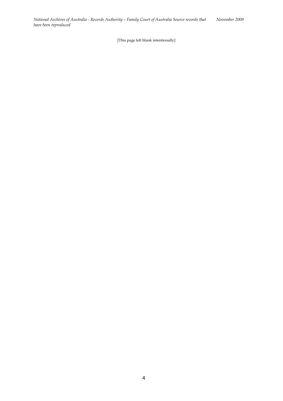*National Archives of Australia - Records Authority – Family Court of Australia Source records that have been reproduced November 2009* 

[This page left blank intentionally]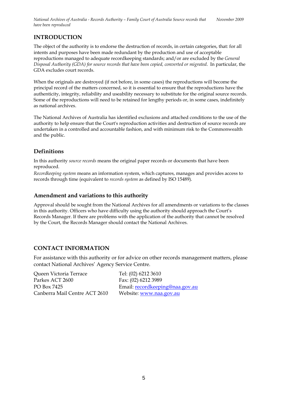*National Archives of Australia - Records Authority – Family Court of Australia Source records that have been reproduced November 2009* 

#### **INTRODUCTION**

The object of the authority is to endorse the destruction of records, in certain categories, that: for all intents and purposes have been made redundant by the production and use of acceptable reproductions managed to adequate recordkeeping standards; and/or are excluded by the *General Disposal Authority (GDA) for source records that have been copied, converted or migrated*. In particular, the GDA excludes court records.

When the originals are destroyed (if not before, in some cases) the reproductions will become the principal record of the matters concerned, so it is essential to ensure that the reproductions have the authenticity, integrity, reliability and useability necessary to substitute for the original source records. Some of the reproductions will need to be retained for lengthy periods or, in some cases, indefinitely as national archives.

The National Archives of Australia has identified exclusions and attached conditions to the use of the authority to help ensure that the Court's reproduction activities and destruction of source records are undertaken in a controlled and accountable fashion, and with minimum risk to the Commonwealth and the public.

#### **Definitions**

In this authority *source records* means the original paper records or documents that have been reproduced.

*Recordkeeping system* means an information system, which captures, manages and provides access to records through time (equivalent to *records system* as defined by ISO 15489).

#### **Amendment and variations to this authority**

Approval should be sought from the National Archives for all amendments or variations to the classes in this authority. Officers who have difficulty using the authority should approach the Court's Records Manager. If there are problems with the application of the authority that cannot be resolved by the Court, the Records Manager should contact the National Archives.

#### **CONTACT INFORMATION**

For assistance with this authority or for advice on other records management matters, please contact National Archives' Agency Service Centre.

| Queen Victoria Terrace        | Tel: (02) 6212 3610             |
|-------------------------------|---------------------------------|
| Parkes ACT 2600               | Fax: (02) 6212 3989             |
| PO Box 7425                   | Email: recordkeeping@naa.gov.au |
| Canberra Mail Centre ACT 2610 | Website: www.naa.gov.au         |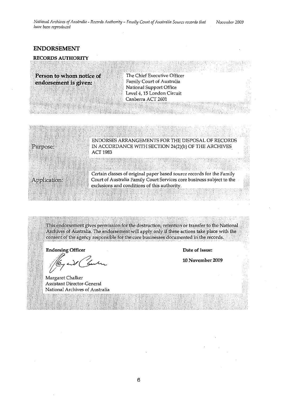#### **ENDORSEMENT**

RECORDS AUTHORITY

Person to whom notice of endorsement is given:

The Chief Executive Officer Family Court of Australia National Support Office Level 4, 15 London Circuit Canberra ACT 2601

Purpose:

ENDORSES ARRANGEMENTS FOR THE DISPOSAL OF RECORDS IN ACCORDANCE WITH SECTION 24(2)(b) OF THE ARCHIVES **ACT 1983** 

Application:

Certain classes of original paper based source records for the Family Court of Australia Family Court Services core business subject to the exclusions and conditions of this authority.

This endorsement gives permission for the destruction, retention or transfer to the National Archives of Australia. The endorsement will apply only if these actions take place with the consent of the agency responsible for the core businesses documented in the records.

**Endorsing Officer** 

zf;~~ **10** November **<sup>2009</sup>**

Margaret Chalker Assistant Director-General National Archives of Australia

**Date of** issue: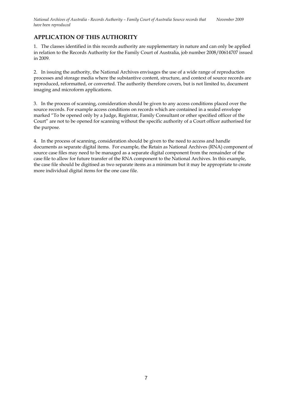#### **APPLICATION OF THIS AUTHORITY**

1. The classes identified in this records authority are supplementary in nature and can only be applied in relation to the Records Authority for the Family Court of Australia, job number 2008/00614707 issued in 2009.

2. In issuing the authority, the National Archives envisages the use of a wide range of reproduction processes and storage media where the substantive content, structure, and context of source records are reproduced, reformatted, or converted. The authority therefore covers, but is not limited to, document imaging and microform applications.

3. In the process of scanning, consideration should be given to any access conditions placed over the source records. For example access conditions on records which are contained in a sealed envelope marked "To be opened only by a Judge, Registrar, Family Consultant or other specified officer of the Court" are not to be opened for scanning without the specific authority of a Court officer authorised for the purpose.

4. In the process of scanning, consideration should be given to the need to access and handle documents as separate digital items. For example, the Retain as National Archives (RNA) component of source case files may need to be managed as a separate digital component from the remainder of the case file to allow for future transfer of the RNA component to the National Archives. In this example, the case file should be digitised as two separate items as a minimum but it may be appropriate to create more individual digital items for the one case file.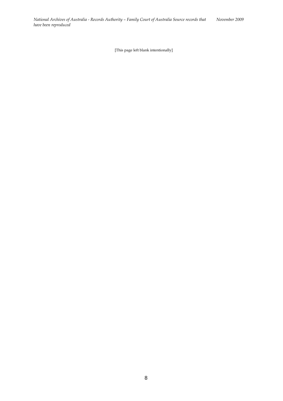[This page left blank intentionally]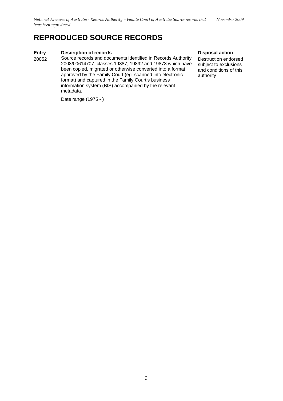#### **Entry** Description of records Disposal action **Disposal action**

20052 Source records and documents identified in Records Authority 2008/00614707, classes 19887, 19892 and 19873 which have been copied, migrated or otherwise converted into a format approved by the Family Court (eg. scanned into electronic format) and captured in the Family Court's business information system (BIS) accompanied by the relevant metadata.

Date range (1975 - )

Destruction endorsed subject to exclusions and conditions of this authority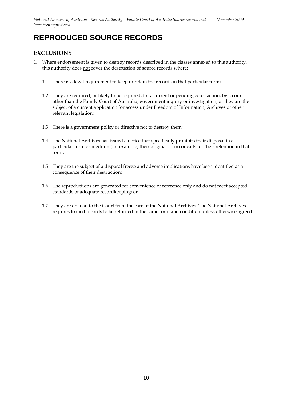### **EXCLUSIONS**

- 1. Where endorsement is given to destroy records described in the classes annexed to this authority, this authority does not cover the destruction of source records where:
	- 1.1. There is a legal requirement to keep or retain the records in that particular form;
	- 1.2. They are required, or likely to be required, for a current or pending court action, by a court other than the Family Court of Australia, government inquiry or investigation, or they are the subject of a current application for access under Freedom of Information, Archives or other relevant legislation;
	- 1.3. There is a government policy or directive not to destroy them;
	- 1.4. The National Archives has issued a notice that specifically prohibits their disposal in a particular form or medium (for example, their original form) or calls for their retention in that form;
	- 1.5. They are the subject of a disposal freeze and adverse implications have been identified as a consequence of their destruction;
	- 1.6. The reproductions are generated for convenience of reference only and do not meet accepted standards of adequate recordkeeping; or
	- 1.7. They are on loan to the Court from the care of the National Archives. The National Archives requires loaned records to be returned in the same form and condition unless otherwise agreed.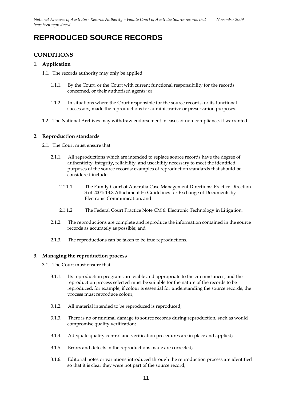#### **CONDITIONS**

#### **1. Application**

- 1.1. The records authority may only be applied:
	- 1.1.1. By the Court, or the Court with current functional responsibility for the records concerned, or their authorised agents; or
	- 1.1.2. In situations where the Court responsible for the source records, or its functional successors, made the reproductions for administrative or preservation purposes.
- 1.2. The National Archives may withdraw endorsement in cases of non-compliance, if warranted.

#### **2. Reproduction standards**

- 2.1. The Court must ensure that:
	- 2.1.1. All reproductions which are intended to replace source records have the degree of authenticity, integrity, reliability, and useability necessary to meet the identified purposes of the source records; examples of reproduction standards that should be considered include:
		- 2.1.1.1. The Family Court of Australia Case Management Directions: Practice Direction 3 of 2004: 13.8 Attachment H: Guidelines for Exchange of Documents by Electronic Communication; and
		- 2.1.1.2. The Federal Court Practice Note CM 6: Electronic Technology in Litigation.
	- 2.1.2. The reproductions are complete and reproduce the information contained in the source records as accurately as possible; and
	- 2.1.3. The reproductions can be taken to be true reproductions.

#### **3. Managing the reproduction process**

- 3.1. The Court must ensure that:
	- 3.1.1. Its reproduction programs are viable and appropriate to the circumstances, and the reproduction process selected must be suitable for the nature of the records to be reproduced, for example, if colour is essential for understanding the source records, the process must reproduce colour;
	- 3.1.2. All material intended to be reproduced is reproduced;
	- 3.1.3. There is no or minimal damage to source records during reproduction, such as would compromise quality verification;
	- 3.1.4. Adequate quality control and verification procedures are in place and applied;
	- 3.1.5. Errors and defects in the reproductions made are corrected;
	- 3.1.6. Editorial notes or variations introduced through the reproduction process are identified so that it is clear they were not part of the source record;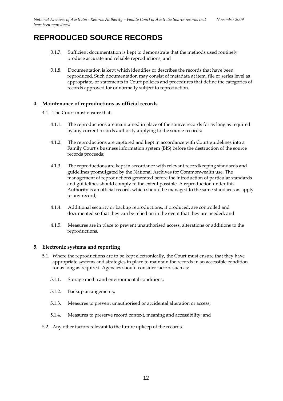- 3.1.7. Sufficient documentation is kept to demonstrate that the methods used routinely produce accurate and reliable reproductions; and
- 3.1.8. Documentation is kept which identifies or describes the records that have been reproduced. Such documentation may consist of metadata at item, file or series level as appropriate, or statements in Court policies and procedures that define the categories of records approved for or normally subject to reproduction.

#### **4. Maintenance of reproductions as official records**

- 4.1. The Court must ensure that:
	- 4.1.1. The reproductions are maintained in place of the source records for as long as required by any current records authority applying to the source records;
	- 4.1.2. The reproductions are captured and kept in accordance with Court guidelines into a Family Court's business information system (BIS) before the destruction of the source records proceeds;
	- 4.1.3. The reproductions are kept in accordance with relevant recordkeeping standards and guidelines promulgated by the National Archives for Commonwealth use. The management of reproductions generated before the introduction of particular standards and guidelines should comply to the extent possible. A reproduction under this Authority is an official record, which should be managed to the same standards as apply to any record;
	- 4.1.4. Additional security or backup reproductions, if produced, are controlled and documented so that they can be relied on in the event that they are needed; and
	- 4.1.5. Measures are in place to prevent unauthorised access, alterations or additions to the reproductions.

#### **5. Electronic systems and reporting**

- 5.1. Where the reproductions are to be kept electronically, the Court must ensure that they have appropriate systems and strategies in place to maintain the records in an accessible condition for as long as required. Agencies should consider factors such as:
	- 5.1.1. Storage media and environmental conditions;
	- 5.1.2. Backup arrangements;
	- 5.1.3. Measures to prevent unauthorised or accidental alteration or access;
	- 5.1.4. Measures to preserve record context, meaning and accessibility; and
- 5.2. Any other factors relevant to the future upkeep of the records.